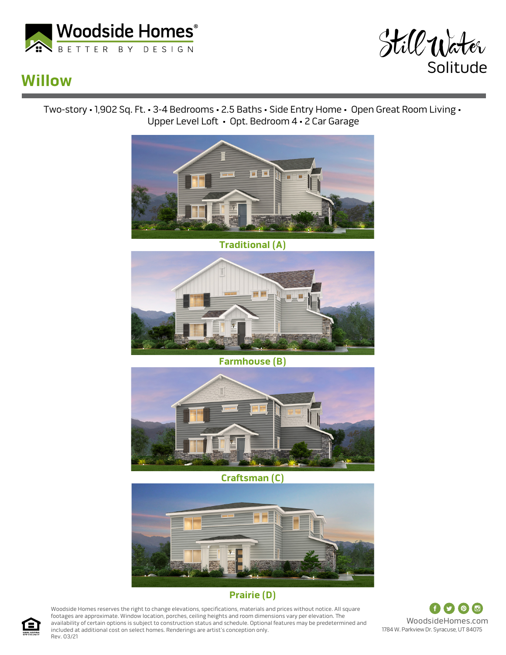



## **Willow**

Two-story • 1,902 Sq. Ft. • 3-4 Bedrooms • 2.5 Baths • Side Entry Home • Open Great Room Living • Upper Level Loft • Opt. Bedroom 4 • 2 Car Garage



**Traditional (A)**



**Farmhouse (B)**



**Craftsman (C)**



## **Prairie (D)**

Woodside Homes reserves the right to change elevations, specifications, materials and prices without notice. All square footages are approximate. Window location, porches, ceiling heights and room dimensions vary per elevation. The availability of certain options is subject to construction status and schedule. Optional features may be predetermined and included at additional cost on select homes. Renderings are artist's conception only. Rev. 03/21